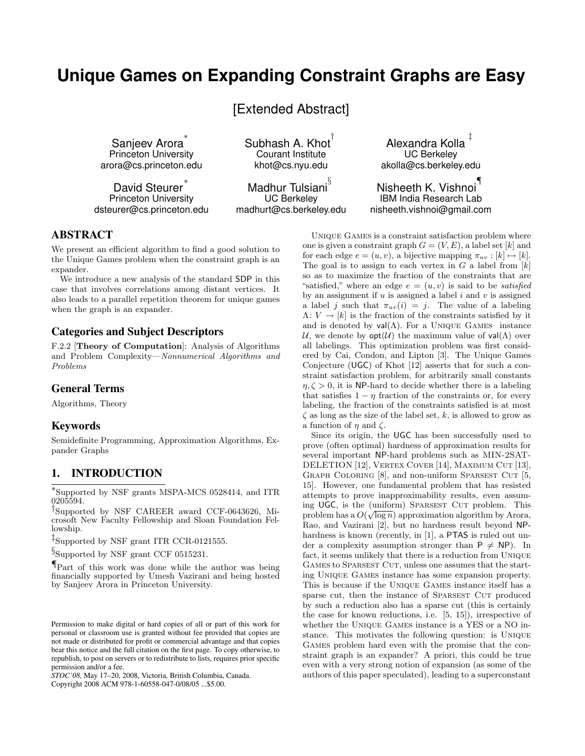# **Unique Games on Expanding Constraint Graphs are Easy**

[Extended Abstract]

Sanjeev Arora ∗ Princeton University arora@cs.princeton.edu

David Steurer Princeton University dsteurer@cs.princeton.edu Subhash A. Khot $^\dagger$ Courant Institute khot@cs.nyu.edu

Madhur Tulsiani $^{\S}$ UC Berkeley madhurt@cs.berkeley.edu

Alexandra Kolla UC Berkeley akolla@cs.berkeley.edu

‡

Nisheeth K. Vishnoi ¶ IBM India Research Lab nisheeth.vishnoi@gmail.com

## ABSTRACT

We present an efficient algorithm to find a good solution to the Unique Games problem when the constraint graph is an expander.

We introduce a new analysis of the standard SDP in this case that involves correlations among distant vertices. It also leads to a parallel repetition theorem for unique games when the graph is an expander.

## Categories and Subject Descriptors

F.2.2 [Theory of Computation]: Analysis of Algorithms and Problem Complexity—Nonnumerical Algorithms and Problems

### General Terms

Algorithms, Theory

#### Keywords

Semidefinite Programming, Approximation Algorithms, Expander Graphs

## 1. INTRODUCTION

∗ Supported by NSF grants MSPA-MCS 0528414, and ITR 0205594.

† Supported by NSF CAREER award CCF-0643626, Microsoft New Faculty Fellowship and Sloan Foundation Fellowship.

‡ Supported by NSF grant ITR CCR-0121555.

§ Supported by NSF grant CCF 0515231.

Part of this work was done while the author was being financially supported by Umesh Vazirani and being hosted by Sanjeev Arora in Princeton University.

*STOC'08,* May 17–20, 2008, Victoria, British Columbia, Canada. Copyright 2008 ACM 978-1-60558-047-0/08/05 ...\$5.00.

Unique Games is a constraint satisfaction problem where one is given a constraint graph  $G = (V, E)$ , a label set [k] and for each edge  $e = (u, v)$ , a bijective mapping  $\pi_{uv} : [k] \mapsto [k]$ . The goal is to assign to each vertex in  $G$  a label from  $[k]$ so as to maximize the fraction of the constraints that are "satisfied," where an edge  $e = (u, v)$  is said to be *satisfied* by an assignment if  $u$  is assigned a label  $i$  and  $v$  is assigned a label j such that  $\pi_{uv}(i) = j$ . The value of a labeling  $\Lambda: V \to [k]$  is the fraction of the constraints satisfied by it and is denoted by  $val(\Lambda)$ . For a UNIQUE GAMES instance U, we denote by  $opt(\mathcal{U})$  the maximum value of val( $\Lambda$ ) over all labelings. This optimization problem was first considered by Cai, Condon, and Lipton [3]. The Unique Games Conjecture (UGC) of Khot [12] asserts that for such a constraint satisfaction problem, for arbitrarily small constants  $\eta, \zeta > 0$ , it is NP-hard to decide whether there is a labeling that satisfies  $1 - \eta$  fraction of the constraints or, for every labeling, the fraction of the constraints satisfied is at most  $\zeta$  as long as the size of the label set, k, is allowed to grow as a function of  $\eta$  and  $\zeta$ .

Since its origin, the UGC has been successfully used to prove (often optimal) hardness of approximation results for several important NP-hard problems such as MIN-2SAT-DELETION [12], VERTEX COVER [14], MAXIMUM CUT [13], GRAPH COLORING  $[8]$ , and non-uniform Sparsest Cut  $[5,$ 15]. However, one fundamental problem that has resisted attempts to prove inapproximability results, even assuming UGC, is the (uniform) SPARSEST CUT problem. This problem has a  $O(\sqrt{\log n})$  approximation algorithm by Arora, Rao, and Vazirani [2], but no hardness result beyond NPhardness is known (recently, in [1], a PTAS is ruled out under a complexity assumption stronger than  $P \neq NP$ ). In fact, it seems unlikely that there is a reduction from Unique GAMES to SPARSEST CUT, unless one assumes that the starting Unique Games instance has some expansion property. This is because if the Unique Games instance itself has a sparse cut, then the instance of Sparsest Cut produced by such a reduction also has a sparse cut (this is certainly the case for known reductions, i.e. [5, 15]), irrespective of whether the Unique Games instance is a YES or a NO instance. This motivates the following question: is Unique Games problem hard even with the promise that the constraint graph is an expander? A priori, this could be true even with a very strong notion of expansion (as some of the authors of this paper speculated), leading to a superconstant

Permission to make digital or hard copies of all or part of this work for personal or classroom use is granted without fee provided that copies are not made or distributed for profit or commercial advantage and that copies bear this notice and the full citation on the first page. To copy otherwise, to republish, to post on servers or to redistribute to lists, requires prior specific permission and/or a fee.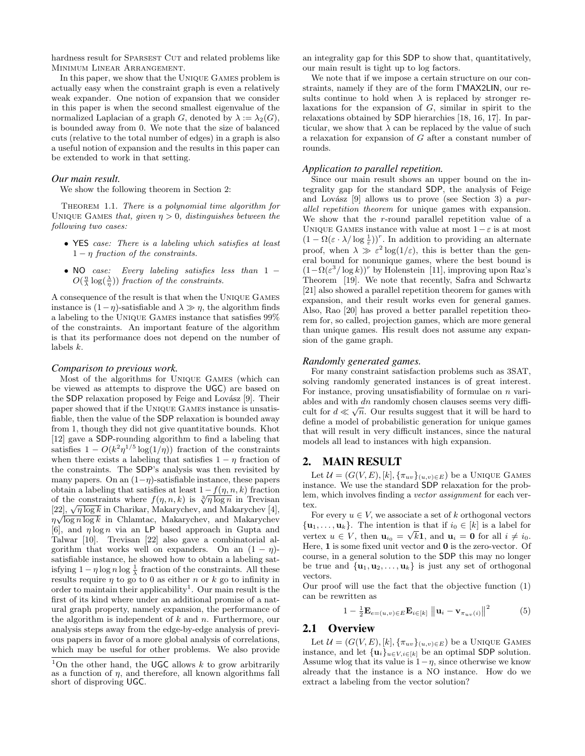hardness result for SPARSEST CUT and related problems like Minimum Linear Arrangement.

In this paper, we show that the Unique Games problem is actually easy when the constraint graph is even a relatively weak expander. One notion of expansion that we consider in this paper is when the second smallest eigenvalue of the normalized Laplacian of a graph G, denoted by  $\lambda := \lambda_2(G)$ , is bounded away from 0. We note that the size of balanced cuts (relative to the total number of edges) in a graph is also a useful notion of expansion and the results in this paper can be extended to work in that setting.

#### *Our main result.*

We show the following theorem in Section 2:

THEOREM 1.1. There is a polynomial time algorithm for UNIQUE GAMES that, given  $\eta > 0$ , distinguishes between the following two cases:

- YES case: There is a labeling which satisfies at least  $1 - \eta$  fraction of the constraints.
- NO case: Every labeling satisfies less than 1 −  $O(\frac{\eta}{\lambda} \log(\frac{\lambda}{\eta}))$  fraction of the constraints.

A consequence of the result is that when the Unique Games instance is  $(1 - \eta)$ -satisfiable and  $\lambda \gg \eta$ , the algorithm finds a labeling to the Unique Games instance that satisfies 99% of the constraints. An important feature of the algorithm is that its performance does not depend on the number of labels k.

#### *Comparison to previous work.*

Most of the algorithms for Unique Games (which can be viewed as attempts to disprove the UGC) are based on the SDP relaxation proposed by Feige and Lovász [9]. Their paper showed that if the Unique Games instance is unsatisfiable, then the value of the SDP relaxation is bounded away from 1, though they did not give quantitative bounds. Khot [12] gave a SDP-rounding algorithm to find a labeling that satisfies  $1 - O(k^2 \eta^{1/5} \log(1/\eta))$  fraction of the constraints when there exists a labeling that satisfies  $1 - \eta$  fraction of the constraints. The SDP's analysis was then revisited by many papers. On an  $(1-\eta)$ -satisfiable instance, these papers obtain a labeling that satisfies at least  $1 - f(\eta, n, k)$  fraction of the constraints where  $f(\eta, n, k)$  is  $\sqrt[3]{\eta \log n}$  in Trevisan of the constraints where  $f(\eta, n, \kappa)$  is  $\sqrt{\eta} \log n$  in Trevisan [22],  $\sqrt{\eta \log k}$  in Charikar, Makarychev, and Makarychev [4],  $\eta \sqrt{\log n \log k}$  in Chlamtac, Makarychev, and Makarychev [6], and  $\eta \log n$  via an LP based approach in Gupta and Talwar [10]. Trevisan [22] also gave a combinatorial algorithm that works well on expanders. On an  $(1 - \eta)$ satisfiable instance, he showed how to obtain a labeling satisfying  $1 - \eta \log n \log \frac{1}{\lambda}$  fraction of the constraints. All these results require  $\eta$  to go to 0 as either n or k go to infinity in order to maintain their applicability<sup>1</sup>. Our main result is the first of its kind where under an additional promise of a natural graph property, namely expansion, the performance of the algorithm is independent of  $k$  and  $n$ . Furthermore, our analysis steps away from the edge-by-edge analysis of previous papers in favor of a more global analysis of correlations, which may be useful for other problems. We also provide

an integrality gap for this SDP to show that, quantitatively, our main result is tight up to log factors.

We note that if we impose a certain structure on our constraints, namely if they are of the form ΓMAX2LIN, our results continue to hold when  $\lambda$  is replaced by stronger relaxations for the expansion of  $G$ , similar in spirit to the relaxations obtained by SDP hierarchies [18, 16, 17]. In particular, we show that  $\lambda$  can be replaced by the value of such a relaxation for expansion of G after a constant number of rounds.

#### *Application to parallel repetition.*

Since our main result shows an upper bound on the integrality gap for the standard SDP, the analysis of Feige and Lovász  $[9]$  allows us to prove (see Section 3) a parallel repetition theorem for unique games with expansion. We show that the r-round parallel repetition value of a UNIQUE GAMES instance with value at most  $1-\varepsilon$  is at most  $(1 - \Omega(\varepsilon \cdot \lambda / \log \frac{1}{\varepsilon}))^r$ . In addition to providing an alternate proof, when  $\lambda \gg \varepsilon^2 \log(1/\varepsilon)$ , this is better than the general bound for nonunique games, where the best bound is  $(1 - \Omega(\varepsilon^3 / \log k))^r$  by Holenstein [11], improving upon Raz's Theorem [19]. We note that recently, Safra and Schwartz [21] also showed a parallel repetition theorem for games with expansion, and their result works even for general games. Also, Rao [20] has proved a better parallel repetition theorem for, so called, projection games, which are more general than unique games. His result does not assume any expansion of the game graph.

#### *Randomly generated games.*

For many constraint satisfaction problems such as 3SAT, solving randomly generated instances is of great interest. For instance, proving unsatisfiability of formulae on  $n$  variables and with dn randomly chosen clauses seems very difficult for  $d \ll \sqrt{n}$ . Our results suggest that it will be hard to define a model of probabilistic generation for unique games that will result in very difficult instances, since the natural models all lead to instances with high expansion.

### 2. MAIN RESULT

Let  $\mathcal{U} = (G(V, E), [k], {\{\pi_{uv}\}}_{(u, v) \in E})$  be a UNIQUE GAMES instance. We use the standard SDP relaxation for the problem, which involves finding a vector assignment for each vertex.

For every  $u \in V$ , we associate a set of k orthogonal vectors  $\{u_1, \ldots, u_k\}$ . The intention is that if  $i_0 \in [k]$  is a label for vertex  $u \in V$ , then  $\mathbf{u}_{i_0} = \sqrt{k} \mathbf{1}$ , and  $\mathbf{u}_i = \mathbf{0}$  for all  $i \neq i_0$ . Here, 1 is some fixed unit vector and 0 is the zero-vector. Of course, in a general solution to the SDP this may no longer be true and  $\{u_1, u_2, \ldots, u_k\}$  is just any set of orthogonal vectors.

Our proof will use the fact that the objective function (1) can be rewritten as

$$
1 - \frac{1}{2} \mathbf{E}_{e=(u,v) \in E} \mathbf{E}_{i \in [k]} \| \mathbf{u}_i - \mathbf{v}_{\pi_{uv}(i)} \|^2 \tag{5}
$$

#### 2.1 Overview

Let  $\mathcal{U} = (G(V, E), [k], {\{\pi_{uv}\}}_{(u, v) \in E})$  be a UNIQUE GAMES instance, and let  $\{u_i\}_{u \in V, i \in [k]}$  be an optimal SDP solution. Assume wlog that its value is  $1-\eta$ , since otherwise we know already that the instance is a NO instance. How do we extract a labeling from the vector solution?

<sup>&</sup>lt;sup>1</sup>On the other hand, the UGC allows  $k$  to grow arbitrarily as a function of  $\eta$ , and therefore, all known algorithms fall short of disproving UGC.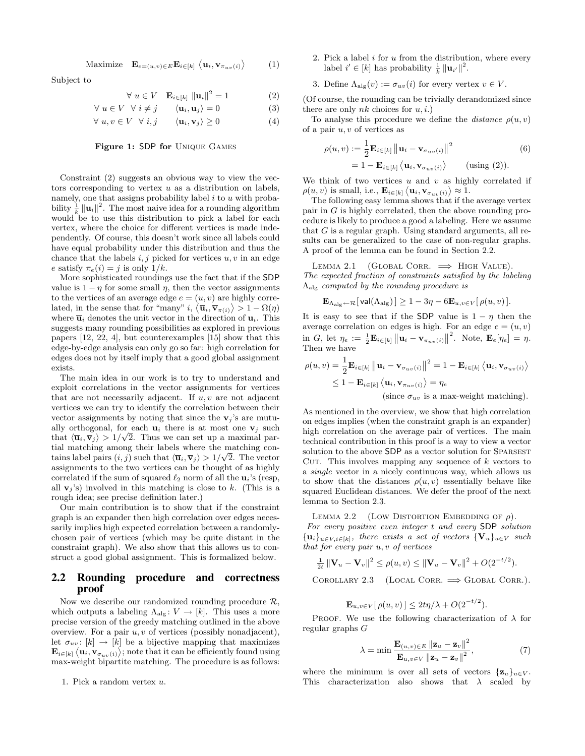Maximize 
$$
\mathbf{E}_{e=(u,v)\in E} \mathbf{E}_{i\in[k]} \langle \mathbf{u}_i, \mathbf{v}_{\pi_{uv}(i)} \rangle
$$
 (1)

Subject to

$$
\forall u \in V \quad \mathbf{E}_{i \in [k]} \|\mathbf{u}_i\|^2 = 1 \tag{2}
$$

$$
\forall u \in V \quad \forall i \neq j \qquad \langle \mathbf{u}_i, \mathbf{u}_j \rangle = 0 \tag{3}
$$

$$
\forall u, v \in V \quad \forall i, j \qquad \langle \mathbf{u}_i, \mathbf{v}_j \rangle \ge 0 \tag{4}
$$

#### Figure 1: SDP for Unique Games

Constraint (2) suggests an obvious way to view the vectors corresponding to vertex  $u$  as a distribution on labels, namely, one that assigns probability label  $i$  to  $u$  with probability  $\frac{1}{k} ||\mathbf{u}_i||^2$ . The most naive idea for a rounding algorithm would be to use this distribution to pick a label for each vertex, where the choice for different vertices is made independently. Of course, this doesn't work since all labels could have equal probability under this distribution and thus the chance that the labels  $i, j$  picked for vertices  $u, v$  in an edge e satisfy  $\pi_e(i) = j$  is only  $1/k$ .

More sophisticated roundings use the fact that if the SDP value is  $1 - \eta$  for some small  $\eta$ , then the vector assignments to the vertices of an average edge  $e = (u, v)$  are highly correlated, in the sense that for "many"  $i, \langle \overline{\mathbf{u}}_i, \overline{\mathbf{v}}_{\pi(i)} \rangle > 1 - \Omega(\eta)$ where  $\overline{\mathbf{u}}_i$  denotes the unit vector in the direction of  $\mathbf{u}_i$ . This suggests many rounding possibilities as explored in previous papers [12, 22, 4], but counterexamples [15] show that this edge-by-edge analysis can only go so far: high correlation for edges does not by itself imply that a good global assignment exists.

The main idea in our work is to try to understand and exploit correlations in the vector assignments for vertices that are not necessarily adjacent. If  $u, v$  are not adjacent vertices we can try to identify the correlation between their vector assignments by noting that since the  $v_j$ 's are mutually orthogonal, for each  $\mathbf{u}_i$  there is at most one  $\mathbf{v}_j$  such that  $\langle \overline{\mathbf{u}}_i, \overline{\mathbf{v}}_j \rangle > 1/\sqrt{2}$ . Thus we can set up a maximal partial matching among their labels where the matching contains label pairs  $(i, j)$  such that  $\langle \overline{\mathbf{u}}_i, \overline{\mathbf{v}}_j \rangle > 1/\sqrt{2}$ . The vector assignments to the two vertices can be thought of as highly correlated if the sum of squared  $\ell_2$  norm of all the  $\mathbf{u}_i$ 's (resp, all  $\mathbf{v}_i$ 's) involved in this matching is close to k. (This is a rough idea; see precise definition later.)

Our main contribution is to show that if the constraint graph is an expander then high correlation over edges necessarily implies high expected correlation between a randomlychosen pair of vertices (which may be quite distant in the constraint graph). We also show that this allows us to construct a good global assignment. This is formalized below.

#### 2.2 Rounding procedure and correctness proof

Now we describe our randomized rounding procedure  $\mathcal{R}$ , which outputs a labeling  $\Lambda_{\text{alg}} : V \to [k]$ . This uses a more precise version of the greedy matching outlined in the above overview. For a pair  $u, v$  of vertices (possibly nonadjacent), let  $\sigma_{uv}$ : [k]  $\rightarrow$  [k] be a bijective mapping that maximizes  $\mathbf{E}_{i \in [k]} \left\langle \mathbf{u}_i, \mathbf{v}_{\sigma_{uv}(i)} \right\rangle$ ; note that it can be efficiently found using max-weight bipartite matching. The procedure is as follows:

1. Pick a random vertex u.

2. Pick a label  $i$  for  $u$  from the distribution, where every label  $i' \in [k]$  has probability  $\frac{1}{k} ||\mathbf{u}_{i'}||^2$ .

3. Define 
$$
\Lambda_{\text{alg}}(v) := \sigma_{uv}(i)
$$
 for every vertex  $v \in V$ .

(Of course, the rounding can be trivially derandomized since there are only  $nk$  choices for  $u, i$ .)

To analyse this procedure we define the *distance*  $\rho(u, v)$ of a pair  $u, v$  of vertices as

$$
\rho(u, v) := \frac{1}{2} \mathbf{E}_{i \in [k]} ||\mathbf{u}_i - \mathbf{v}_{\sigma_{uv}(i)}||^2
$$
\n
$$
= 1 - \mathbf{E}_{i \in [k]} \langle \mathbf{u}_i, \mathbf{v}_{\sigma_{uv}(i)} \rangle \qquad \text{(using (2))}.
$$
\n(6)

We think of two vertices  $u$  and  $v$  as highly correlated if  $\rho(u, v)$  is small, i.e.,  $\mathbf{E}_{i \in [k]} \langle \mathbf{u}_i, \mathbf{v}_{\sigma_{uv}(i)} \rangle \approx 1.$ 

The following easy lemma shows that if the average vertex pair in G is highly correlated, then the above rounding procedure is likely to produce a good a labeling. Here we assume that G is a regular graph. Using standard arguments, all results can be generalized to the case of non-regular graphs. A proof of the lemma can be found in Section 2.2.

LEMMA 2.1 (GLOBAL CORR.  $\implies$  HIGH VALUE). The expected fraction of constraints satisfied by the labeling  $\Lambda_{\text{alg}}$  computed by the rounding procedure is

$$
\mathbf{E}_{\Lambda_{\mathrm{alg}} \leftarrow \mathcal{R}}[\mathsf{val}(\Lambda_{\mathrm{alg}})] \ge 1 - 3\eta - 6 \mathbf{E}_{u,v \in V}[\rho(u,v)].
$$

It is easy to see that if the SDP value is  $1 - \eta$  then the average correlation on edges is high. For an edge  $e = (u, v)$  $\lim_{n \to \infty} G$ , let  $\eta_e := \frac{1}{2} \mathbf{E}_{i \in [k]} ||\mathbf{u}_i - \mathbf{v}_{\pi_{uv}(i)}||^2$ . Note,  $\mathbf{E}_e[\eta_e] = \eta$ . Then we have

$$
\rho(u, v) = \frac{1}{2} \mathbf{E}_{i \in [k]} ||\mathbf{u}_i - \mathbf{v}_{\sigma_{uv}(i)}||^2 = 1 - \mathbf{E}_{i \in [k]} \langle \mathbf{u}_i, \mathbf{v}_{\sigma_{uv}(i)} \rangle
$$
  
\n
$$
\leq 1 - \mathbf{E}_{i \in [k]} \langle \mathbf{u}_i, \mathbf{v}_{\sigma_{uv}(i)} \rangle = \eta_e
$$
  
\n(since  $\sigma_{uv}$  is a max-weight matching).

As mentioned in the overview, we show that high correlation on edges implies (when the constraint graph is an expander) high correlation on the average pair of vertices. The main technical contribution in this proof is a way to view a vector solution to the above SDP as a vector solution for SPARSEST CUT. This involves mapping any sequence of  $k$  vectors to a single vector in a nicely continuous way, which allows us to show that the distances  $\rho(u, v)$  essentially behave like squared Euclidean distances. We defer the proof of the next lemma to Section 2.3.

LEMMA 2.2 (LOW DISTORTION EMBEDDING OF  $\rho$ ).

For every positive even integer t and every SDP solution  ${\mathbf \{u}_i\}_{u \in V, i \in [k]}$ , there exists a set of vectors  ${\mathbf \{V}_u\}_{u \in V}$  such that for every pair u, v of vertices

$$
\frac{1}{2t} \left\| \mathbf{V}_u - \mathbf{V}_v \right\|^2 \le \rho(u, v) \le \left\| \mathbf{V}_u - \mathbf{V}_v \right\|^2 + O(2^{-t/2}).
$$

COROLLARY 2.3 (LOCAL CORR.  $\implies$  GLOBAL CORR.).

$$
\mathbf{E}_{u,v \in V}[\rho(u,v)] \leq 2t\eta/\lambda + O(2^{-t/2}).
$$

PROOF. We use the following characterization of  $\lambda$  for regular graphs G

$$
\lambda = \min \frac{\mathbf{E}_{(u,v)\in E} \left\| \mathbf{z}_u - \mathbf{z}_v \right\|^2}{\mathbf{E}_{u,v\in V} \left\| \mathbf{z}_u - \mathbf{z}_v \right\|^2},\tag{7}
$$

where the minimum is over all sets of vectors  $\{z_u\}_{u\in V}$ . This characterization also shows that  $\lambda$  scaled by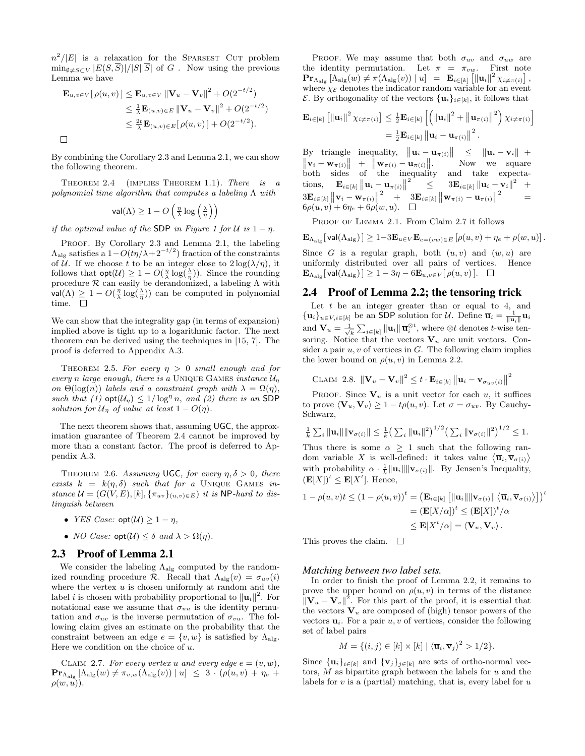$n^2/|E|$  is a relaxation for the SPARSEST CUT problem  $\min_{\emptyset \neq S \subset V} |E(S, \overline{S})|/|S||\overline{S}|$  of G. Now using the previous Lemma we have

$$
\mathbf{E}_{u,v \in V} [\rho(u,v)] \leq \mathbf{E}_{u,v \in V} ||\mathbf{V}_{u} - \mathbf{V}_{v}||^{2} + O(2^{-t/2})
$$
  
\n
$$
\leq \frac{1}{\lambda} \mathbf{E}_{(u,v) \in E} ||\mathbf{V}_{u} - \mathbf{V}_{v}||^{2} + O(2^{-t/2})
$$
  
\n
$$
\leq \frac{2t}{\lambda} \mathbf{E}_{(u,v) \in E} [\rho(u,v)] + O(2^{-t/2}).
$$

By combining the Corollary 2.3 and Lemma 2.1, we can show the following theorem.

THEOREM 2.4 (IMPLIES THEOREM 1.1). There is a polynomial time algorithm that computes a labeling  $\Lambda$  with

$$
\mathsf{val}(\Lambda) \ge 1 - O\left(\tfrac{\eta}{\lambda} \log\left(\tfrac{\lambda}{\eta}\right)\right)
$$

 $\mathcal{L}$ 

 $\sim$   $\sim$   $\sim$ 

if the optimal value of the SDP in Figure 1 for U is  $1 - \eta$ .

PROOF. By Corollary 2.3 and Lemma 2.1, the labeling  $\Lambda_{\text{alg}}$  satisfies a  $1-O(t\eta/\lambda+2^{-t/2})$  fraction of the constraints of U. If we choose t to be an integer close to  $2 \log(\lambda/\eta)$ , it follows that  $\mathsf{opt}(\mathcal{U}) \geq 1 - O(\frac{\eta}{\lambda} \log(\frac{\lambda}{\eta}))$ . Since the rounding procedure  $R$  can easily be derandomized, a labeling  $\Lambda$  with val( $\Lambda$ )  $\geq 1 - O(\frac{\eta}{\lambda} \log(\frac{\lambda}{\eta}))$  can be computed in polynomial time.  $\square$ 

We can show that the integrality gap (in terms of expansion) implied above is tight up to a logarithmic factor. The next theorem can be derived using the techniques in [15, 7]. The proof is deferred to Appendix A.3.

THEOREM 2.5. For every  $\eta > 0$  small enough and for every n large enough, there is a UNIQUE GAMES instance  $\mathcal{U}_\eta$ on  $\Theta(\log(n))$  labels and a constraint graph with  $\lambda = \Omega(\eta)$ , such that (1)  $\text{opt}(\mathcal{U}_\eta) \leq 1/\log^\eta n$ , and (2) there is an SDP solution for  $\mathcal{U}_\eta$  of value at least  $1 - O(\eta)$ .

The next theorem shows that, assuming UGC, the approximation guarantee of Theorem 2.4 cannot be improved by more than a constant factor. The proof is deferred to Appendix A.3.

THEOREM 2.6. Assuming UGC, for every  $\eta, \delta > 0$ , there exists  $k = k(\eta, \delta)$  such that for a UNIQUE GAMES instance  $\mathcal{U} = (G(V, E), [k], {\{\pi_{uv}\}}_{(u, v) \in E})$  it is NP-hard to distinguish between

- YES Case:  $opt(\mathcal{U}) \geq 1 \eta$ ,
- *NO Case:*  $opt(\mathcal{U}) \leq \delta$  *and*  $\lambda > \Omega(\eta)$ *.*

#### 2.3 Proof of Lemma 2.1

We consider the labeling  $\Lambda_{\text{alg}}$  computed by the randomized rounding procedure R. Recall that  $\Lambda_{\text{alg}}(v) = \sigma_{uv}(i)$ where the vertex  $u$  is chosen uniformly at random and the label *i* is chosen with probability proportional to  $||\mathbf{u}_i||^2$ . For notational ease we assume that  $\sigma_{uu}$  is the identity permutation and  $\sigma_{uv}$  is the inverse permutation of  $\sigma_{vu}$ . The following claim gives an estimate on the probability that the constraint between an edge  $e = \{v, w\}$  is satisfied by  $\Lambda_{\text{alg}}$ . Here we condition on the choice of  $u$ .

CLAIM 2.7. For every vertex u and every edge  $e = (v, w)$ ,  $\mathbf{Pr}_{\Lambda_{\text{alg}}} [\Lambda_{\text{alg}}(w) \neq \pi_{v,w}(\Lambda_{\text{alg}}(v)) | u] \leq 3 \cdot (\rho(u, v) + \eta_e +$  $\rho(w, u)$ ).

PROOF. We may assume that both  $\sigma_{uv}$  and  $\sigma_{uw}$  are the identity permutation. Let  $\pi = \pi_{vw}$ . First note  $\mathbf{Pr}_{\Lambda_{\text{alg}}} \left[ \Lambda_{\text{alg}}(w) \neq \pi(\Lambda_{\text{alg}}(v)) \mid u \right] \;\; = \;\; \mathbf{E}_{i \in [k]} \left[ \left\| \mathbf{u}_{i} \right\|^{2} \chi_{i \neq \pi(i)} \right],$ where  $\chi_{\mathcal{E}}$  denotes the indicator random variable for an event  $\mathcal{E}$ . By orthogonality of the vectors  $\{u_i\}_{i\in[k]}$ , it follows that

$$
\mathbf{E}_{i \in [k]} [\|\mathbf{u}_i\|^2 \chi_{i \neq \pi(i)}] \leq \frac{1}{2} \mathbf{E}_{i \in [k]} [\left( \|\mathbf{u}_i\|^2 + \|\mathbf{u}_{\pi(i)}\|^2 \right) \chi_{i \neq \pi(i)}]
$$
  
=  $\frac{1}{2} \mathbf{E}_{i \in [k]} \|\mathbf{u}_i - \mathbf{u}_{\pi(i)}\|^2.$ 

By triangle inequality,  $\|\mathbf{u}_i - \mathbf{u}_{\pi(i)}\| \leq \|\mathbf{u}_i - \mathbf{v}_i\| +$  $\|\mathbf{v}_i - \mathbf{w}_{\pi(i)}\| + \|\mathbf{w}_{\pi(i)} - \mathbf{u}_{\pi(i)}\|$ Now we square<br>and take expecta $both$  sides of the inequality tions,  $\mathbf{E}_{i \in [k]} \| \mathbf{u}_i - \mathbf{u}_{\pi(i)} \|^2 \leq 3 \mathbf{E}_{i \in [k]} \| \mathbf{u}_i - \mathbf{v}_i \|$  $3\mathbf{E}_{i \in [k]} ||\mathbf{u}_i - \mathbf{v}_i||^2 +$  $3\mathbf{E}_{i\in[k]}\left\|\mathbf{v}_{i}-\mathbf{w}_{\pi(i)}\right\|^{2} + 3\mathbf{E}_{i\in[k]}\left\|\mathbf{w}_{\pi(i)}-\mathbf{u}_{\pi(i)}\right\|^{2} \notag\ \notag\hspace{0.2cm} 6\rho(u,v) + 6\eta_{e} + 6\rho(w,u). \quad \Box$  $=$ 

PROOF OF LEMMA 2.1. From Claim 2.7 it follows

 $\mathbf{E}_{\Lambda_{\text{alg}}}[\text{val}(\Lambda_{\text{alg}})] \geq 1-3\mathbf{E}_{u\in V}\mathbf{E}_{e=(vw)\in E}[\rho(u,v)+\eta_e+\rho(w,u)].$ Since G is a regular graph, both  $(u, v)$  and  $(w, u)$  are uniformly distributed over all pairs of vertices. Hence  $\mathbf{E}_{\Lambda_{\text{alg}}}[\text{val}(\Lambda_{\text{alg}})] \geq 1 - 3\eta - 6\mathbf{E}_{u,v \in V}[\rho(u,v)].$ 

#### 2.4 Proof of Lemma 2.2; the tensoring trick

Let  $t$  be an integer greater than or equal to 4, and  $\{\mathbf u_i\}_{u\in V, i\in[k]}$  be an SDP solution for  $\mathcal U$ . Define  $\overline{\mathbf u}_i = \frac{1}{\|\mathbf u_i\|} \mathbf u_i$ and  $\mathbf{V}_u = \frac{1}{\sqrt{k}} \sum_{i \in [k]} ||\mathbf{u}_i|| \overline{\mathbf{u}}_i^{\otimes t}$ , where  $\otimes t$  denotes *t*-wise tensoring. Notice that the vectors  $V_u$  are unit vectors. Consider a pair  $u, v$  of vertices in  $G$ . The following claim implies the lower bound on  $\rho(u, v)$  in Lemma 2.2.

CLAIM 2.8.  $\|\mathbf{V}_u - \mathbf{V}_v\|^2 \leq t \cdot \mathbf{E}_{i \in [k]} \left\| \mathbf{u}_i - \mathbf{v}_{\sigma_{uv}(i)} \right\|^2$ 

PROOF. Since  $V_u$  is a unit vector for each u, it suffices to prove  $\langle \mathbf{V}_u, \mathbf{V}_v \rangle \geq 1 - t\rho(u, v)$ . Let  $\sigma = \sigma_{uv}$ . By Cauchy-Schwarz,

$$
\frac{1}{k} \sum_{i} \|\mathbf{u}_{i}\| \|\mathbf{v}_{\sigma(i)}\| \leq \frac{1}{k} \left( \sum_{i} \|\mathbf{u}_{i}\|^{2} \right)^{1/2} \left( \sum_{i} \|\mathbf{v}_{\sigma(i)}\|^{2} \right)^{1/2} \leq 1.
$$

Thus there is some  $\alpha \geq 1$  such that the following random variable X is well-defined: it takes value  $\langle \overline{\mathbf{u}}_i, \overline{\mathbf{v}}_{\sigma(i)} \rangle$ with probability  $\alpha \cdot \frac{1}{k} ||\mathbf{u}_i|| ||\mathbf{v}_{\sigma(i)}||$ . By Jensen's Inequality,  $(E[X])^t \leq E[X^t]$ . Hence,

$$
1 - \rho(u, v)t \le (1 - \rho(u, v))^t = \left(\mathbf{E}_{i \in [k]} \left[ \|\mathbf{u}_i\| \|\mathbf{v}_{\sigma(i)}\| \langle \overline{\mathbf{u}}_i, \overline{\mathbf{v}}_{\sigma(i)} \rangle \right] \right)^t
$$
  
= \left(\mathbf{E}[X/\alpha]\right)^t \le (\mathbf{E}[X])^t/\alpha  
\le \mathbf{E}[X^t/\alpha] = \langle \mathbf{V}\_u, \mathbf{V}\_v \rangle.

This proves the claim.  $\square$ 

#### *Matching between two label sets.*

In order to finish the proof of Lemma 2.2, it remains to prove the upper bound on  $\rho(u, v)$  in terms of the distance  $\|\mathbf{V}_u - \mathbf{V}_v\|^2$ . For this part of the proof, it is essential that the vectors  $V_u$  are composed of (high) tensor powers of the vectors  $\mathbf{u}_i$ . For a pair u, v of vertices, consider the following set of label pairs

$$
M = \{ (i, j) \in [k] \times [k] \mid \langle \overline{\mathbf{u}}_i, \overline{\mathbf{v}}_j \rangle^2 > 1/2 \}.
$$

Since  ${\{\overline{\mathbf{u}}_i\}_{i\in[k]}$  and  ${\{\overline{\mathbf{v}}_j\}_{j\in[k]}$  are sets of ortho-normal vectors,  $M$  as bipartite graph between the labels for  $u$  and the labels for  $v$  is a (partial) matching, that is, every label for  $u$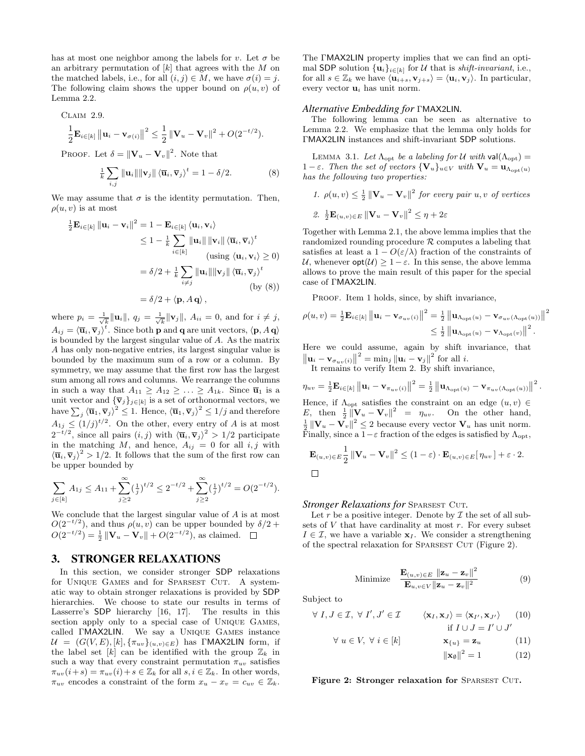has at most one neighbor among the labels for v. Let  $\sigma$  be an arbitrary permutation of  $[k]$  that agrees with the M on the matched labels, i.e., for all  $(i, j) \in M$ , we have  $\sigma(i) = j$ . The following claim shows the upper bound on  $\rho(u, v)$  of Lemma 2.2.

Claim 2.9.

$$
\frac{1}{2} \mathbf{E}_{i \in [k]} \| \mathbf{u}_i - \mathbf{v}_{\sigma(i)} \|^2 \leq \frac{1}{2} \| \mathbf{V}_u - \mathbf{V}_v \|^2 + O(2^{-t/2}).
$$

PROOF. Let  $\delta = ||\mathbf{V}_u - \mathbf{V}_v||^2$ . Note that

$$
\frac{1}{k} \sum_{i,j} \|\mathbf{u}_i\| \|\mathbf{v}_j\| \left\langle \overline{\mathbf{u}}_i, \overline{\mathbf{v}}_j \right\rangle^t = 1 - \delta/2. \tag{8}
$$

We may assume that  $\sigma$  is the identity permutation. Then,  $\rho(u, v)$  is at most

$$
\frac{1}{2} \mathbf{E}_{i \in [k]} \| \mathbf{u}_i - \mathbf{v}_i \|^2 = 1 - \mathbf{E}_{i \in [k]} \langle \mathbf{u}_i, \mathbf{v}_i \rangle
$$
  
\n
$$
\leq 1 - \frac{1}{k} \sum_{i \in [k]} \| \mathbf{u}_i \| \| \mathbf{v}_i \| \langle \overline{\mathbf{u}}_i, \overline{\mathbf{v}}_i \rangle^t
$$
  
\n
$$
\text{(using } \langle \mathbf{u}_i, \mathbf{v}_i \rangle \geq 0)
$$
  
\n
$$
= \delta/2 + \frac{1}{k} \sum_{i \neq j} \| \mathbf{u}_i \| \| \mathbf{v}_j \| \langle \overline{\mathbf{u}}_i, \overline{\mathbf{v}}_j \rangle^t
$$
  
\n
$$
\text{(by (8))}
$$
  
\n
$$
= \delta/2 + \langle \mathbf{p}, A \mathbf{q} \rangle,
$$

where  $p_i = \frac{1}{\sqrt{k}} ||\mathbf{u}_i||$ ,  $q_j = \frac{1}{\sqrt{k}} ||\mathbf{v}_j||$ ,  $A_{ii} = 0$ , and for  $i \neq j$ ,  $A_{ij} = \langle \overline{\mathbf{u}}_i, \overline{\mathbf{v}}_j \rangle^t$ . Since both **p** and **q** are unit vectors,  $\langle \mathbf{p}, A \mathbf{q} \rangle$ is bounded by the largest singular value of A. As the matrix A has only non-negative entries, its largest singular value is bounded by the maximum sum of a row or a column. By symmetry, we may assume that the first row has the largest sum among all rows and columns. We rearrange the columns in such a way that  $A_{11} \geq A_{12} \geq \ldots \geq A_{1k}$ . Since  $\overline{\mathbf{u}}_1$  is a unit vector and  ${\{\overline{\mathbf{v}}_j\}_{j\in[k]}}$  is a set of orthonormal vectors, we have  $\sum_j \langle \overline{\mathbf{u}}_1, \overline{\mathbf{v}}_j \rangle^2 \leq 1$ . Hence,  $\langle \overline{\mathbf{u}}_1, \overline{\mathbf{v}}_j \rangle^2 \leq 1/j$  and therefore  $A_{1j} \leq (1/j)^{t/2}$ . On the other, every entry of A is at most  $2^{-t/2}$ , since all pairs  $(i, j)$  with  $\langle \overline{\mathbf{u}}_i, \overline{\mathbf{v}}_j \rangle^2 > 1/2$  participate in the matching M, and hence,  $A_{ij} = 0$  for all  $i, j$  with  $\langle \overline{\mathbf{u}}_i, \overline{\mathbf{v}}_j \rangle^2 > 1/2$ . It follows that the sum of the first row can be upper bounded by

$$
\sum_{j \in [k]} A_{1j} \le A_{11} + \sum_{j \ge 2}^{\infty} \left(\frac{1}{j}\right)^{t/2} \le 2^{-t/2} + \sum_{j \ge 2}^{\infty} \left(\frac{1}{j}\right)^{t/2} = O(2^{-t/2}).
$$

We conclude that the largest singular value of A is at most  $O(2^{-t/2})$ , and thus  $\rho(u, v)$  can be upper bounded by  $\delta/2 +$  $O(2^{-t/2}) = \frac{1}{2} ||\mathbf{V}_u - \mathbf{V}_v|| + O(2^{-t/2}),$  as claimed.

## 3. STRONGER RELAXATIONS

In this section, we consider stronger SDP relaxations for UNIQUE GAMES and for SPARSEST CUT. A systematic way to obtain stronger relaxations is provided by SDP hierarchies. We choose to state our results in terms of Lasserre's SDP hierarchy [16, 17]. The results in this section apply only to a special case of Unique Games, called ΓMAX2LIN. We say a Unique Games instance  $\mathcal{U} = (G(V, E), [k], {\{\pi_{uv}\}}_{(u, v) \in E})$  has ΓMAX2LIN form, if the label set [k] can be identified with the group  $\mathbb{Z}_k$  in such a way that every constraint permutation  $\pi_{uv}$  satisfies  $\pi_{uv}(i+s) = \pi_{uv}(i) + s \in \mathbb{Z}_k$  for all  $s, i \in \mathbb{Z}_k$ . In other words,  $\pi_{uv}$  encodes a constraint of the form  $x_u - x_v = c_{uv} \in \mathbb{Z}_k$ .

The ΓMAX2LIN property implies that we can find an optimal SDP solution  $\{u_i\}_{i\in[k]}$  for U that is *shift-invariant*, i.e., for all  $s \in \mathbb{Z}_k$  we have  $\langle \mathbf{u}_{i+s}, \mathbf{v}_{j+s} \rangle = \langle \mathbf{u}_i, \mathbf{v}_j \rangle$ . In particular, every vector  $\mathbf{u}_i$  has unit norm.

#### *Alternative Embedding for* ΓMAX2LIN*.*

The following lemma can be seen as alternative to Lemma 2.2. We emphasize that the lemma only holds for ΓMAX2LIN instances and shift-invariant SDP solutions.

LEMMA 3.1. Let  $\Lambda_{\text{opt}}$  be a labeling for U with val $(\Lambda_{\text{opt}})$  =  $1 - \varepsilon$ . Then the set of vectors  $\{V_u\}_{u \in V}$  with  $V_u = u_{\Lambda_{\text{opt}}(u)}$ has the following two properties:

1. 
$$
\rho(u, v) \leq \frac{1}{2} ||\mathbf{V}_u - \mathbf{V}_v||^2
$$
 for every pair  $u, v$  of vertices

2. 
$$
\frac{1}{2} \mathbf{E}_{(u,v) \in E} ||\mathbf{V}_u - \mathbf{V}_v||^2 \le \eta + 2\varepsilon
$$

Together with Lemma 2.1, the above lemma implies that the randomized rounding procedure  $R$  computes a labeling that satisfies at least a  $1 - O(\varepsilon/\lambda)$  fraction of the constraints of U, whenever  $opt(\mathcal{U}) \geq 1 - \varepsilon$ . In this sense, the above lemma allows to prove the main result of this paper for the special case of ΓMAX2LIN.

PROOF. Item 1 holds, since, by shift invariance,

$$
\rho(u,v) = \frac{1}{2} \mathbf{E}_{i \in [k]} ||\mathbf{u}_i - \mathbf{v}_{\sigma_{uv}(i)}||^2 = \frac{1}{2} ||\mathbf{u}_{\Lambda_{\text{opt}}(u)} - \mathbf{v}_{\sigma_{uv}(\Lambda_{\text{opt}}(u))}||^2
$$
  

$$
\leq \frac{1}{2} ||\mathbf{u}_{\Lambda_{\text{opt}}(u)} - \mathbf{v}_{\Lambda_{\text{opt}}(v)}||^2.
$$

Here we could assume, again by shift invariance, that  $\|\mathbf{u}_i - \mathbf{v}_{\sigma_{uv}(i)}\|^2 = \min_j \|\mathbf{u}_i - \mathbf{v}_j\|^2$  for all i.

It remains to verify Item 2. By shift invariance,

 $\eta_{uv} = \frac{1}{2} \mathbf{E}_{i \in [k]} \left\| \mathbf{u}_{i} - \mathbf{v}_{\pi_{uv}(i)} \right\|^{2} = \frac{1}{2} \left\| \mathbf{u}_{\Lambda_{\text{opt}}(u)} - \mathbf{v}_{\pi_{uv}(\Lambda_{\text{opt}}(u))} \right\|^{2}.$ Hence, if  $\Lambda_{\text{opt}}$  satisfies the constraint on an edge  $(u, v) \in$ E, then  $\frac{1}{2} \|\mathbf{V}_u - \mathbf{V}_v\|^2 = \eta_{uv}$ . On the other hand,  $\frac{1}{2} ||\mathbf{V}_u - \mathbf{V}_v||^2 \leq 2$  because every vector  $\mathbf{V}_u$  has unit norm. Finally, since a  $1-\varepsilon$  fraction of the edges is satisfied by  $\Lambda_{\text{opt}}$ ,

$$
\mathbf{E}_{(u,v)\in E} \frac{1}{2} ||\mathbf{V}_u - \mathbf{V}_v||^2 \le (1-\varepsilon) \cdot \mathbf{E}_{(u,v)\in E} [\eta_{uv}] + \varepsilon \cdot 2.
$$

*Stronger Relaxations for SPARSEST CUT.* 

Let  $r$  be a positive integer. Denote by  $\mathcal I$  the set of all subsets of  $V$  that have cardinality at most  $r$ . For every subset  $I \in \mathcal{I}$ , we have a variable  $\mathbf{x}_I$ . We consider a strengthening of the spectral relaxation for SPARSEST CUT (Figure 2).

Minimize 
$$
\frac{\mathbf{E}_{(u,v)\in E} \|\mathbf{z}_u - \mathbf{z}_v\|^2}{\mathbf{E}_{u,v\in V} \|\mathbf{z}_u - \mathbf{z}_v\|^2}
$$
(9)

Subject to

$$
\forall I, J \in \mathcal{I}, \forall I', J' \in \mathcal{I} \qquad \langle \mathbf{x}_I, \mathbf{x}_J \rangle = \langle \mathbf{x}_{I'}, \mathbf{x}_{J'} \rangle \qquad (10)
$$
  
if  $I \cup J = I' \cup J'$   

$$
\forall x \in V, \forall i \in [h] \qquad \qquad \mathbf{x}_{II} = \mathbf{x}_{II} \qquad (11)
$$

$$
\forall u \in V, \forall i \in [k] \qquad \mathbf{x}_{\{u\}} = \mathbf{z}_u \qquad (11)
$$

$$
\|\mathbf{x}_\emptyset\|^2 = 1 \qquad (12)
$$

Figure 2: Stronger relaxation for SPARSEST CUT.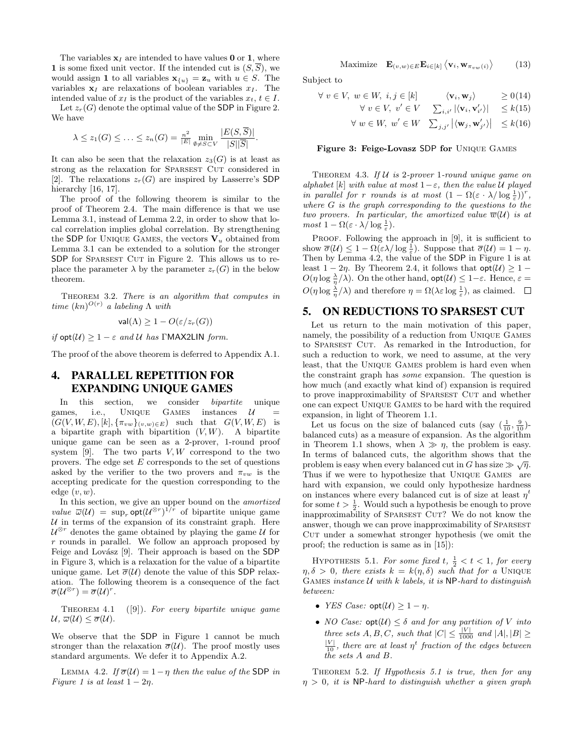The variables  $x_I$  are intended to have values 0 or 1, where 1 is some fixed unit vector. If the intended cut is  $(S,\overline{S})$ , we would assign 1 to all variables  $\mathbf{x}_{\{u\}} = \mathbf{z}_u$  with  $u \in S$ . The variables  $x_I$  are relaxations of boolean variables  $x_I$ . The intended value of  $x_I$  is the product of the variables  $x_t, t \in I$ .

Let  $z_r(G)$  denote the optimal value of the SDP in Figure 2. We have

$$
\lambda \leq z_1(G) \leq \ldots \leq z_n(G) = \frac{n^2}{|E|} \min_{\emptyset \neq S \subset V} \frac{|E(S,\overline{S})|}{|S||\overline{S}|}.
$$

It can also be seen that the relaxation  $z_3(G)$  is at least as strong as the relaxation for SPARSEST CUT considered in [2]. The relaxations  $z_r(G)$  are inspired by Lasserre's SDP hierarchy [16, 17].

The proof of the following theorem is similar to the proof of Theorem 2.4. The main difference is that we use Lemma 3.1, instead of Lemma 2.2, in order to show that local correlation implies global correlation. By strengthening the SDP for UNIQUE GAMES, the vectors  $V_u$  obtained from Lemma 3.1 can be extended to a solution for the stronger SDP for SPARSEST CUT in Figure 2. This allows us to replace the parameter  $\lambda$  by the parameter  $z_r(G)$  in the below theorem.

THEOREM 3.2. There is an algorithm that computes in time  $(kn)^{O(r)}$  a labeling  $\Lambda$  with

$$
\mathsf{val}(\Lambda) \ge 1 - O(\varepsilon / z_r(G))
$$

if  $opt(\mathcal{U}) \geq 1 - \varepsilon$  and U has ΓΜΑΧ2LIN form.

The proof of the above theorem is deferred to Appendix A.1.

## 4. PARALLEL REPETITION FOR EXPANDING UNIQUE GAMES

In this section, we consider bipartite unique games, i.e., UNIQUE GAMES instances  $U$  $(G(V, W, E), [k], {\pi_{vw}}_{(v,w) \in E})$  such that  $G(V, W, E)$  is a bipartite graph with bipartition  $(V, W)$ . A bipartite unique game can be seen as a 2-prover, 1-round proof system  $[9]$ . The two parts  $V, W$  correspond to the two provers. The edge set  $E$  corresponds to the set of questions asked by the verifier to the two provers and  $\pi_{vw}$  is the accepting predicate for the question corresponding to the edge  $(v, w)$ .

In this section, we give an upper bound on the amortized *value*  $\overline{\omega}(\mathcal{U}) = \sup_r \text{opt}(\mathcal{U}^{\otimes r})^{1/r}$  of bipartite unique game  $U$  in terms of the expansion of its constraint graph. Here  $\mathcal{U}^{\otimes r}$  denotes the game obtained by playing the game  $\mathcal U$  for  $r$  rounds in parallel. We follow an approach proposed by Feige and Lovász [9]. Their approach is based on the SDP in Figure 3, which is a relaxation for the value of a bipartite unique game. Let  $\bar{\sigma}(\mathcal{U})$  denote the value of this SDP relaxation. The following theorem is a consequence of the fact  $\overline{\sigma}(\mathcal{U}^{\otimes r}) = \overline{\sigma}(\mathcal{U})^r.$ 

THEOREM 4.1  $([9])$ . For every bipartite unique game  $\mathcal{U}, \overline{\omega}(\mathcal{U}) \leq \overline{\sigma}(\mathcal{U}).$ 

We observe that the SDP in Figure 1 cannot be much stronger than the relaxation  $\overline{\sigma}(\mathcal{U})$ . The proof mostly uses standard arguments. We defer it to Appendix A.2.

LEMMA 4.2. If  $\overline{\sigma}(\mathcal{U}) = 1 - \eta$  then the value of the SDP in Figure 1 is at least  $1 - 2\eta$ .

Maximize 
$$
\mathbf{E}_{(v,w)\in E} \mathbf{E}_{i\in[k]} \langle \mathbf{v}_i, \mathbf{w}_{\pi_{vw}(i)} \rangle
$$
 (13)

Subject to

$$
\forall v \in V, w \in W, i, j \in [k] \qquad \langle \mathbf{v}_i, \mathbf{w}_j \rangle \qquad \geq 0
$$
(14)

$$
\forall v \in V, v' \in V \quad \sum_{i,i'} |\langle \mathbf{v}_i, \mathbf{v}'_{i'} \rangle| \leq k(15)
$$

$$
\forall w \in W, \ w' \in W \quad \sum_{j,j'} |\langle \mathbf{w}_j, \mathbf{w}'_{j'} \rangle| \leq k(16)
$$

Figure 3: Feige-Lovasz SDP for Unique Games

THEOREM 4.3. If  $U$  is 2-prover 1-round unique game on alphabet [k] with value at most  $1-\varepsilon$ , then the value U played in parallel for r rounds is at most  $(1 - \Omega(\varepsilon \cdot \lambda/\log \frac{1}{\varepsilon}))^r$ , where  $G$  is the graph corresponding to the questions to the two provers. In particular, the amortized value  $\overline{w}(\mathcal{U})$  is at  $most\ 1-\Omega(\varepsilon\cdot\lambda/\log\frac{1}{\varepsilon}).$ 

PROOF. Following the approach in [9], it is sufficient to show  $\overline{\sigma}(\mathcal{U}) \leq 1 - \Omega(\varepsilon \lambda / \log \frac{1}{\varepsilon})$ . Suppose that  $\overline{\sigma}(\mathcal{U}) = 1 - \eta$ . Then by Lemma 4.2, the value of the SDP in Figure 1 is at least  $1 - 2\eta$ . By Theorem 2.4, it follows that  $opt(\mathcal{U}) \geq 1$  –  $O(\eta \log \frac{\lambda}{\eta}/\lambda)$ . On the other hand,  $\mathsf{opt}(\mathcal{U}) \leq 1-\varepsilon$ . Hence,  $\varepsilon =$  $O(\eta \log \frac{\lambda}{\eta}/\lambda)$  and therefore  $\eta = \Omega(\lambda \varepsilon \log \frac{1}{\varepsilon})$ , as claimed.

#### 5. ON REDUCTIONS TO SPARSEST CUT

Let us return to the main motivation of this paper, namely, the possibility of a reduction from Unique Games to SPARSEST CUT. As remarked in the Introduction, for such a reduction to work, we need to assume, at the very least, that the Unique Games problem is hard even when the constraint graph has some expansion. The question is how much (and exactly what kind of) expansion is required to prove inapproximability of SPARSEST CUT and whether one can expect Unique Games to be hard with the required expansion, in light of Theorem 1.1.

Let us focus on the size of balanced cuts (say  $\left(\frac{1}{10}, \frac{9}{10}\right)$ balanced cuts) as a measure of expansion. As the algorithm in Theorem 1.1 shows, when  $\lambda \gg \eta$ , the problem is easy. In terms of balanced cuts, the algorithm shows that the problem is easy when every balanced cut in G has size  $\gg \sqrt{\eta}$ . Thus if we were to hypothesize that Unique Games are hard with expansion, we could only hypothesize hardness on instances where every balanced cut is of size at least  $\eta^t$ for some  $t > \frac{1}{2}$ . Would such a hypothesis be enough to prove inapproximability of SPARSEST CUT? We do not know the answer, though we can prove inapproximability of SPARSEST CUT under a somewhat stronger hypothesis (we omit the proof; the reduction is same as in [15]):

HYPOTHESIS 5.1. For some fixed  $t, \frac{1}{2} < t < 1$ , for every  $\eta, \delta > 0$ , there exists  $k = k(\eta, \delta)$  such that for a UNIQUE GAMES instance  $U$  with  $k$  labels, it is NP-hard to distinguish between:

- YES Case:  $opt(\mathcal{U}) \geq 1 \eta$ .
- NO Case:  $opt(\mathcal{U}) \leq \delta$  and for any partition of V into three sets  $A, B, C$ , such that  $|C| \leq \frac{|V|}{1000}$  and  $|A|, |B| \geq$  $\frac{|V|}{10}$ , there are at least  $\eta^t$  fraction of the edges between the sets A and B.

THEOREM 5.2. If  $Hypothesis$  5.1 is true, then for any  $\eta > 0$ , it is NP-hard to distinguish whether a given graph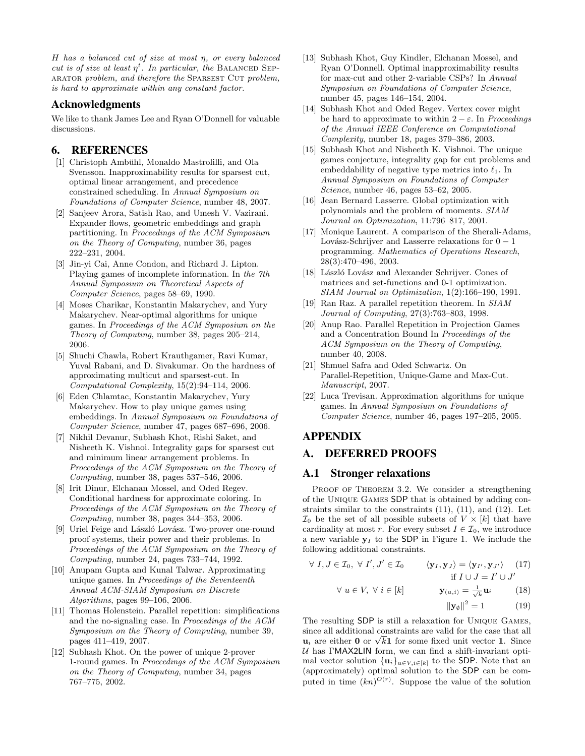H has a balanced cut of size at most η, or every balanced cut is of size at least  $\eta^t$ . In particular, the BALANCED SEP-ARATOR problem, and therefore the SPARSEST CUT problem, is hard to approximate within any constant factor.

#### Acknowledgments

We like to thank James Lee and Ryan O'Donnell for valuable discussions.

## 6. REFERENCES

- [1] Christoph Ambühl, Monaldo Mastrolilli, and Ola Svensson. Inapproximability results for sparsest cut, optimal linear arrangement, and precedence constrained scheduling. In Annual Symposium on Foundations of Computer Science, number 48, 2007.
- [2] Sanjeev Arora, Satish Rao, and Umesh V. Vazirani. Expander flows, geometric embeddings and graph partitioning. In Proceedings of the ACM Symposium on the Theory of Computing, number 36, pages 222–231, 2004.
- [3] Jin-yi Cai, Anne Condon, and Richard J. Lipton. Playing games of incomplete information. In the 7th Annual Symposium on Theoretical Aspects of Computer Science, pages 58–69, 1990.
- [4] Moses Charikar, Konstantin Makarychev, and Yury Makarychev. Near-optimal algorithms for unique games. In Proceedings of the ACM Symposium on the Theory of Computing, number 38, pages 205–214, 2006.
- [5] Shuchi Chawla, Robert Krauthgamer, Ravi Kumar, Yuval Rabani, and D. Sivakumar. On the hardness of approximating multicut and sparsest-cut. In Computational Complexity, 15(2):94–114, 2006.
- [6] Eden Chlamtac, Konstantin Makarychev, Yury Makarychev. How to play unique games using embeddings. In Annual Symposium on Foundations of Computer Science, number 47, pages 687–696, 2006.
- [7] Nikhil Devanur, Subhash Khot, Rishi Saket, and Nisheeth K. Vishnoi. Integrality gaps for sparsest cut and minimum linear arrangement problems. In Proceedings of the ACM Symposium on the Theory of Computing, number 38, pages 537–546, 2006.
- [8] Irit Dinur, Elchanan Mossel, and Oded Regev. Conditional hardness for approximate coloring. In Proceedings of the ACM Symposium on the Theory of Computing, number 38, pages 344–353, 2006.
- [9] Uriel Feige and László Lovász. Two-prover one-round proof systems, their power and their problems. In Proceedings of the ACM Symposium on the Theory of Computing, number 24, pages 733–744, 1992.
- [10] Anupam Gupta and Kunal Talwar. Approximating unique games. In Proceedings of the Seventeenth Annual ACM-SIAM Symposium on Discrete Algorithms, pages 99–106, 2006.
- [11] Thomas Holenstein. Parallel repetition: simplifications and the no-signaling case. In Proceedings of the ACM Symposium on the Theory of Computing, number 39, pages 411–419, 2007.
- [12] Subhash Khot. On the power of unique 2-prover 1-round games. In Proceedings of the ACM Symposium on the Theory of Computing, number 34, pages 767–775, 2002.
- [13] Subhash Khot, Guy Kindler, Elchanan Mossel, and Ryan O'Donnell. Optimal inapproximability results for max-cut and other 2-variable CSPs? In Annual Symposium on Foundations of Computer Science, number 45, pages 146–154, 2004.
- [14] Subhash Khot and Oded Regev. Vertex cover might be hard to approximate to within  $2 - \varepsilon$ . In Proceedings of the Annual IEEE Conference on Computational Complexity, number 18, pages 379–386, 2003.
- [15] Subhash Khot and Nisheeth K. Vishnoi. The unique games conjecture, integrality gap for cut problems and embeddability of negative type metrics into  $\ell_1$ . In Annual Symposium on Foundations of Computer Science, number 46, pages 53–62, 2005.
- [16] Jean Bernard Lasserre. Global optimization with polynomials and the problem of moments. SIAM Journal on Optimization, 11:796–817, 2001.
- [17] Monique Laurent. A comparison of the Sherali-Adams, Lovász-Schrijver and Lasserre relaxations for  $0 - 1$ programming. Mathematics of Operations Research, 28(3):470–496, 2003.
- [18] László Lovász and Alexander Schrijver. Cones of matrices and set-functions and 0-1 optimization. SIAM Journal on Optimization, 1(2):166–190, 1991.
- [19] Ran Raz. A parallel repetition theorem. In SIAM Journal of Computing, 27(3):763–803, 1998.
- [20] Anup Rao. Parallel Repetition in Projection Games and a Concentration Bound In Proceedings of the ACM Symposium on the Theory of Computing, number 40, 2008.
- [21] Shmuel Safra and Oded Schwartz. On Parallel-Repetition, Unique-Game and Max-Cut. Manuscript, 2007.
- [22] Luca Trevisan. Approximation algorithms for unique games. In Annual Symposium on Foundations of Computer Science, number 46, pages 197–205, 2005.

## APPENDIX

## A. DEFERRED PROOFS

### A.1 Stronger relaxations

PROOF OF THEOREM 3.2. We consider a strengthening of the Unique Games SDP that is obtained by adding constraints similar to the constraints (11), (11), and (12). Let  $\mathcal{I}_0$  be the set of all possible subsets of  $V \times [k]$  that have cardinality at most r. For every subset  $I \in \mathcal{I}_0$ , we introduce a new variable  $y_I$  to the SDP in Figure 1. We include the following additional constraints.

$$
\forall I, J \in \mathcal{I}_0, \ \forall I', J' \in \mathcal{I}_0 \qquad \langle \mathbf{y}_I, \mathbf{y}_J \rangle = \langle \mathbf{y}_{I'}, \mathbf{y}_{J'} \rangle \qquad (17)
$$
  
if  $I \cup J = I' \cup J'$   

$$
\forall u \in V, \ \forall i \in [k] \qquad \qquad \mathbf{y}_{(u,i)} = \frac{1}{\sqrt{k}} \mathbf{u}_i \qquad \qquad (18)
$$
  

$$
||\mathbf{y}_\emptyset||^2 = 1 \qquad \qquad (19)
$$

The resulting SDP is still a relaxation for Unique Games, since all additional constraints are valid for the case that all since all additional constraints are valid for the case that all  $\mathbf{u}_i$  are either **0** or  $\sqrt{k} \mathbf{1}$  for some fixed unit vector **1**. Since  $U$  has  $\Gamma$ MAX2LIN form, we can find a shift-invariant optimal vector solution  ${\mathbf{u}_i}_{u \in V, i \in [k]}$  to the SDP. Note that an (approximately) optimal solution to the SDP can be computed in time  $(kn)^{O(r)}$ . Suppose the value of the solution